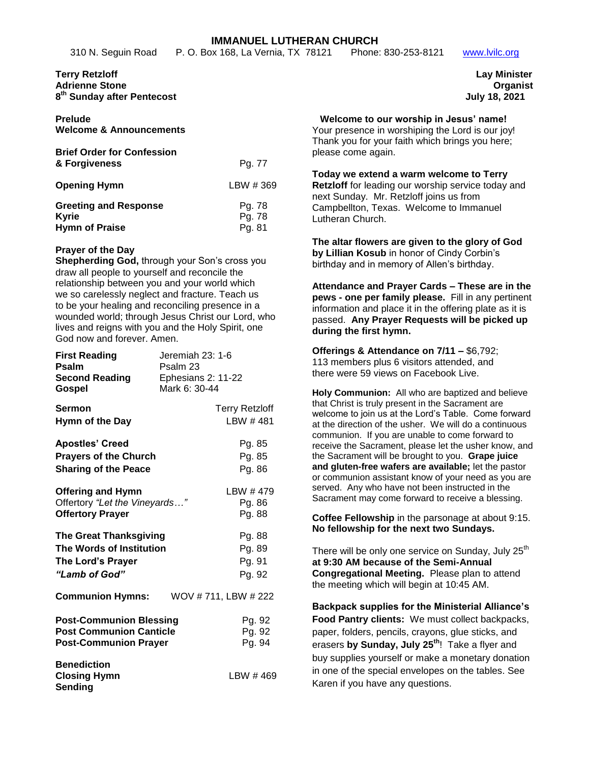# **IMMANUEL LUTHERAN CHURCH**<br>w 168, La Vernia, TX 78121 Phone: 830-253-8121

#### **Terry Retzloff Lay Minister Adrienne Stone Organist 8 th Sunday after Pentecost July 18, 2021**

| Prelude |                                    |
|---------|------------------------------------|
|         | <b>Welcome &amp; Announcements</b> |

| <b>Brief Order for Confession</b><br>& Forgiveness                    | Pg. 77                     |
|-----------------------------------------------------------------------|----------------------------|
| <b>Opening Hymn</b>                                                   | LBW #369                   |
| <b>Greeting and Response</b><br><b>Kyrie</b><br><b>Hymn of Praise</b> | Pg. 78<br>Pg. 78<br>Pg. 81 |

# **Prayer of the Day**

**Shepherding God,** through your Son's cross you draw all people to yourself and reconcile the relationship between you and your world which we so carelessly neglect and fracture. Teach us to be your healing and reconciling presence in a wounded world; through Jesus Christ our Lord, who lives and reigns with you and the Holy Spirit, one God now and forever. Amen.

| <b>First Reading</b><br>Psalm<br><b>Second Reading</b><br>Gospel                                 | Jeremiah 23: 1-6<br>Psalm 23<br>Ephesians 2: 11-22<br>Mark 6: 30-44 |                                      |  |
|--------------------------------------------------------------------------------------------------|---------------------------------------------------------------------|--------------------------------------|--|
| <b>Sermon</b><br>Hymn of the Day                                                                 |                                                                     | <b>Terry Retzloff</b><br>LBW #481    |  |
| <b>Apostles' Creed</b><br><b>Prayers of the Church</b><br><b>Sharing of the Peace</b>            |                                                                     | Pg. 85<br>Pg. 85<br>Pg. 86           |  |
| <b>Offering and Hymn</b><br>Offertory "Let the Vineyards"<br><b>Offertory Prayer</b>             |                                                                     | LBW #479<br>Pg. 86<br>Pg. 88         |  |
| <b>The Great Thanksgiving</b><br>The Words of Institution<br>The Lord's Prayer<br>"Lamb of God"  |                                                                     | Pg. 88<br>Pg. 89<br>Pg. 91<br>Pg. 92 |  |
| <b>Communion Hymns:</b>                                                                          | WOV #711, LBW #222                                                  |                                      |  |
| <b>Post-Communion Blessing</b><br><b>Post Communion Canticle</b><br><b>Post-Communion Prayer</b> |                                                                     | Pg. 92<br>Pg. 92<br>Pg. 94           |  |
| <b>Benediction</b><br><b>Closing Hymn</b><br>Sending                                             |                                                                     | LBW #469                             |  |

310 N. Seguin Road P. O. Box 168, La Vernia, TX 78121 Phone: 830-253-8121 www.lvilc.org

#### **Welcome to our worship in Jesus' name!**

Your presence in worshiping the Lord is our joy! Thank you for your faith which brings you here; please come again.

**Today we extend a warm welcome to Terry Retzloff** for leading our worship service today and next Sunday. Mr. Retzloff joins us from Campbellton, Texas. Welcome to Immanuel Lutheran Church.

**The altar flowers are given to the glory of God by Lillian Kosub** in honor of Cindy Corbin's birthday and in memory of Allen's birthday.

**Attendance and Prayer Cards – These are in the pews - one per family please.** Fill in any pertinent information and place it in the offering plate as it is passed. **Any Prayer Requests will be picked up during the first hymn.**

**Offerings & Attendance on 7/11 –** \$6,792; 113 members plus 6 visitors attended, and there were 59 views on Facebook Live.

**Holy Communion:** All who are baptized and believe that Christ is truly present in the Sacrament are welcome to join us at the Lord's Table. Come forward at the direction of the usher. We will do a continuous communion. If you are unable to come forward to receive the Sacrament, please let the usher know, and the Sacrament will be brought to you. **Grape juice and gluten-free wafers are available;** let the pastor or communion assistant know of your need as you are served. Any who have not been instructed in the Sacrament may come forward to receive a blessing.

**Coffee Fellowship** in the parsonage at about 9:15. **No fellowship for the next two Sundays.**

There will be only one service on Sunday, July 25<sup>th</sup> **at 9:30 AM because of the Semi-Annual Congregational Meeting.** Please plan to attend the meeting which will begin at 10:45 AM.

**Backpack supplies for the Ministerial Alliance's Food Pantry clients:** We must collect backpacks, paper, folders, pencils, crayons, glue sticks, and erasers **by Sunday, July 25th**! Take a flyer and buy supplies yourself or make a monetary donation in one of the special envelopes on the tables. See Karen if you have any questions.